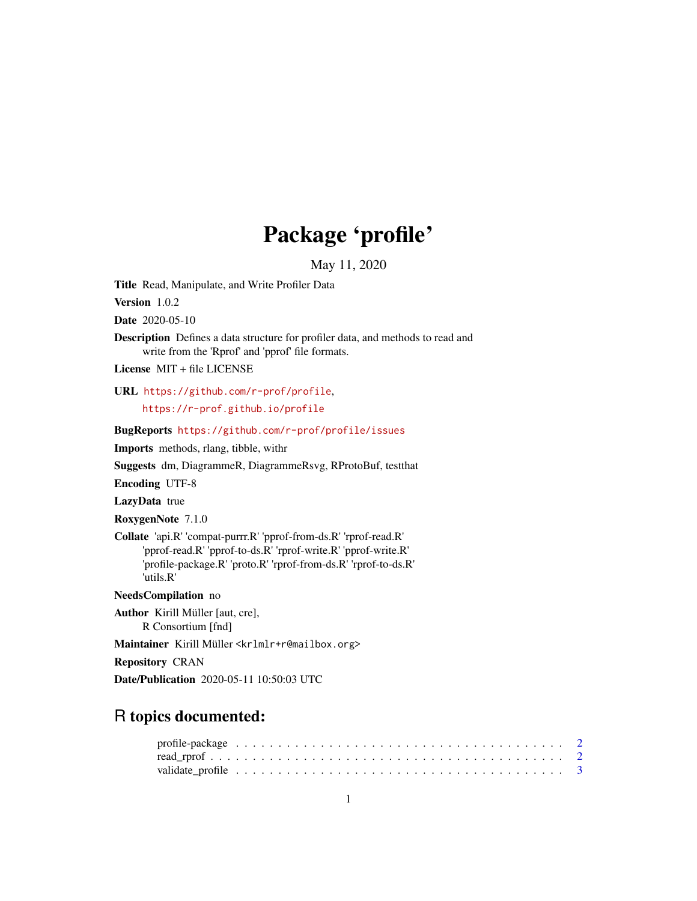## Package 'profile'

May 11, 2020

<span id="page-0-0"></span>Title Read, Manipulate, and Write Profiler Data

Version 1.0.2

Date 2020-05-10

Description Defines a data structure for profiler data, and methods to read and write from the 'Rprof' and 'pprof' file formats.

License MIT + file LICENSE

URL <https://github.com/r-prof/profile>, <https://r-prof.github.io/profile>

#### BugReports <https://github.com/r-prof/profile/issues>

Imports methods, rlang, tibble, withr

Suggests dm, DiagrammeR, DiagrammeRsvg, RProtoBuf, testthat

Encoding UTF-8

LazyData true

RoxygenNote 7.1.0

Collate 'api.R' 'compat-purrr.R' 'pprof-from-ds.R' 'rprof-read.R' 'pprof-read.R' 'pprof-to-ds.R' 'rprof-write.R' 'pprof-write.R' 'profile-package.R' 'proto.R' 'rprof-from-ds.R' 'rprof-to-ds.R' 'utils.R'

NeedsCompilation no

Author Kirill Müller [aut, cre], R Consortium [fnd]

Maintainer Kirill Müller <krlmlr+r@mailbox.org>

Repository CRAN

Date/Publication 2020-05-11 10:50:03 UTC

### R topics documented: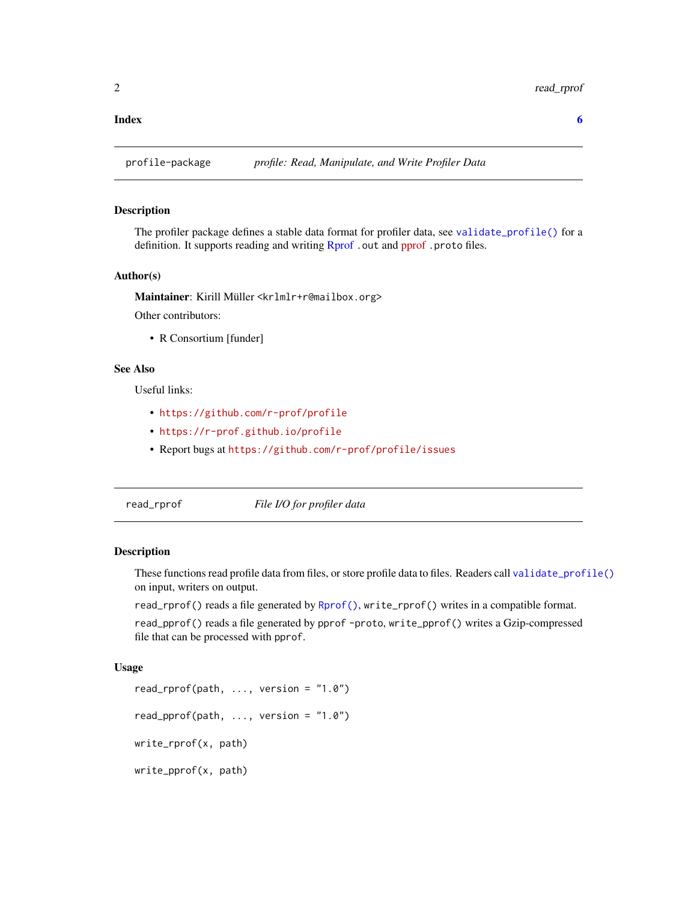#### <span id="page-1-0"></span>**Index** [6](#page-5-0) **6**

profile-package *profile: Read, Manipulate, and Write Profiler Data*

#### Description

The profiler package defines a stable data format for profiler data, see [validate\\_profile\(\)](#page-2-1) for a definition. It supports reading and writing [Rprof](#page-0-0). out and [pprof](https://github.com/google/pprof). proto files.

#### Author(s)

Maintainer: Kirill Müller <krlmlr+r@mailbox.org> Other contributors:

• R Consortium [funder]

#### See Also

Useful links:

- <https://github.com/r-prof/profile>
- <https://r-prof.github.io/profile>
- Report bugs at <https://github.com/r-prof/profile/issues>

<span id="page-1-2"></span>read\_rprof *File I/O for profiler data*

#### <span id="page-1-1"></span>Description

These functions read profile data from files, or store profile data to files. Readers call [validate\\_profile\(\)](#page-2-1) on input, writers on output.

read\_rprof() reads a file generated by [Rprof\(\)](#page-0-0), write\_rprof() writes in a compatible format.

read\_pprof() reads a file generated by pprof -proto, write\_pprof() writes a Gzip-compressed file that can be processed with pprof.

#### Usage

```
read_rprof(path, \ldots, version = "1.0")
read_pprof(path, \ldots, version = "1.0")
write_rprof(x, path)
write_pprof(x, path)
```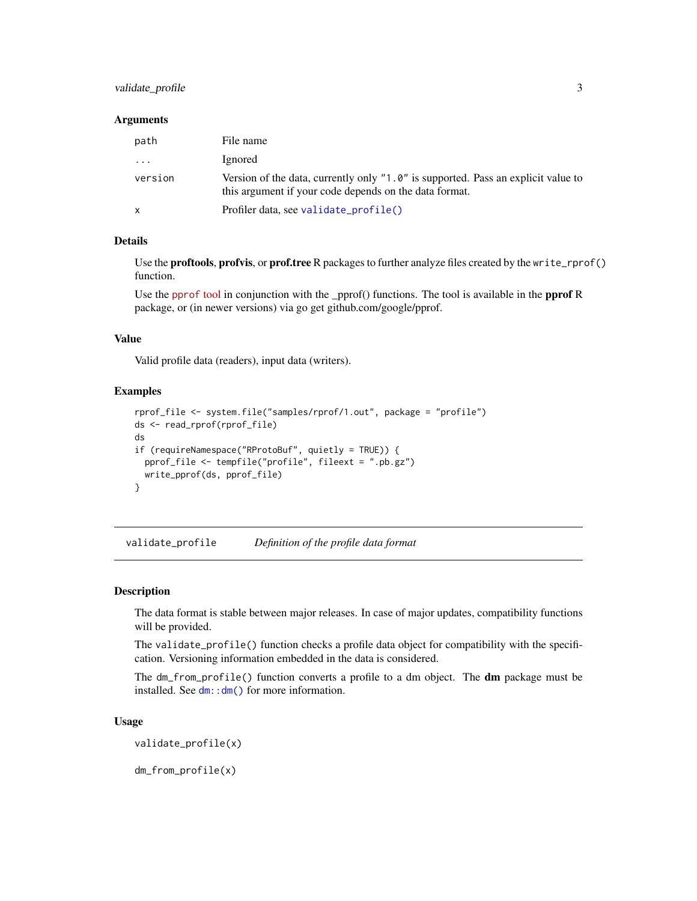#### <span id="page-2-0"></span>validate\_profile 3

#### **Arguments**

| path    | File name                                                                                                                                   |
|---------|---------------------------------------------------------------------------------------------------------------------------------------------|
| $\cdot$ | Ignored                                                                                                                                     |
| version | Version of the data, currently only "1.0" is supported. Pass an explicit value to<br>this argument if your code depends on the data format. |
| X       | Profiler data, see validate_profile()                                                                                                       |

#### Details

Use the proftools, profvis, or prof.tree R packages to further analyze files created by the write\_rprof() function.

Use the [pprof](https://github.com/google/pprof) tool in conjunction with the \_pprof() functions. The tool is available in the pprof R package, or (in newer versions) via go get github.com/google/pprof.

#### Value

Valid profile data (readers), input data (writers).

#### Examples

```
rprof_file <- system.file("samples/rprof/1.out", package = "profile")
ds <- read_rprof(rprof_file)
ds
if (requireNamespace("RProtoBuf", quietly = TRUE)) {
  pprof_file <- tempfile("profile", fileext = ".pb.gz")
  write_pprof(ds, pprof_file)
}
```
<span id="page-2-1"></span>validate\_profile *Definition of the profile data format*

#### Description

The data format is stable between major releases. In case of major updates, compatibility functions will be provided.

The validate\_profile() function checks a profile data object for compatibility with the specification. Versioning information embedded in the data is considered.

The dm\_from\_profile() function converts a profile to a dm object. The **dm** package must be installed. See [dm::dm\(\)](#page-0-0) for more information.

#### Usage

validate\_profile(x)

dm\_from\_profile(x)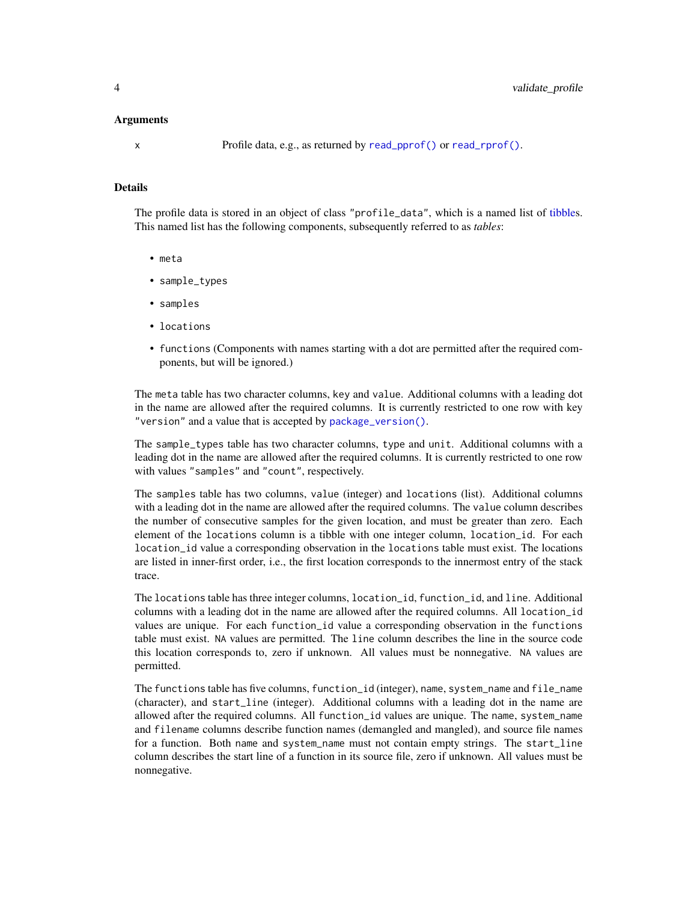#### <span id="page-3-0"></span>Arguments

x Profile data, e.g., as returned by [read\\_pprof\(\)](#page-1-1) or [read\\_rprof\(\)](#page-1-2).

#### Details

The profile data is stored in an object of class "profile\_data", which is a named list of [tibbles](#page-0-0). This named list has the following components, subsequently referred to as *tables*:

- meta
- sample\_types
- samples
- locations
- functions (Components with names starting with a dot are permitted after the required components, but will be ignored.)

The meta table has two character columns, key and value. Additional columns with a leading dot in the name are allowed after the required columns. It is currently restricted to one row with key "version" and a value that is accepted by [package\\_version\(\)](#page-0-0).

The sample\_types table has two character columns, type and unit. Additional columns with a leading dot in the name are allowed after the required columns. It is currently restricted to one row with values "samples" and "count", respectively.

The samples table has two columns, value (integer) and locations (list). Additional columns with a leading dot in the name are allowed after the required columns. The value column describes the number of consecutive samples for the given location, and must be greater than zero. Each element of the locations column is a tibble with one integer column, location\_id. For each location\_id value a corresponding observation in the locations table must exist. The locations are listed in inner-first order, i.e., the first location corresponds to the innermost entry of the stack trace.

The locations table has three integer columns, location\_id, function\_id, and line. Additional columns with a leading dot in the name are allowed after the required columns. All location\_id values are unique. For each function\_id value a corresponding observation in the functions table must exist. NA values are permitted. The line column describes the line in the source code this location corresponds to, zero if unknown. All values must be nonnegative. NA values are permitted.

The functions table has five columns, function\_id (integer), name, system\_name and file\_name (character), and start\_line (integer). Additional columns with a leading dot in the name are allowed after the required columns. All function\_id values are unique. The name, system\_name and filename columns describe function names (demangled and mangled), and source file names for a function. Both name and system\_name must not contain empty strings. The start\_line column describes the start line of a function in its source file, zero if unknown. All values must be nonnegative.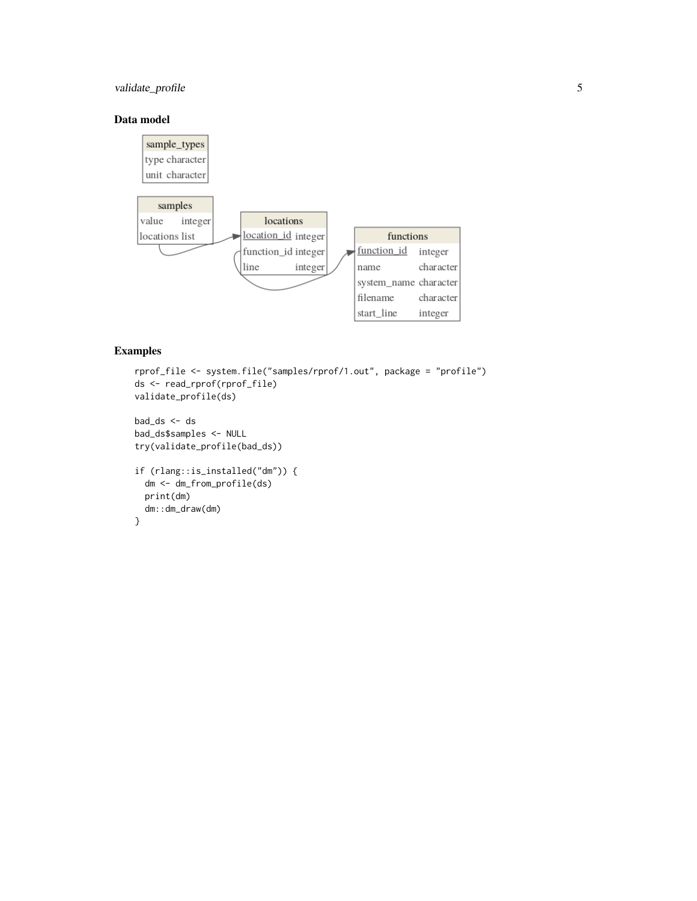#### validate\_profile 5

#### Data model



#### Examples

```
rprof_file <- system.file("samples/rprof/1.out", package = "profile")
ds <- read_rprof(rprof_file)
validate_profile(ds)
bad_ds <- ds
bad_ds$samples <- NULL
try(validate_profile(bad_ds))
if (rlang::is_installed("dm")) {
  dm <- dm_from_profile(ds)
  print(dm)
  dm::dm_draw(dm)
}
```